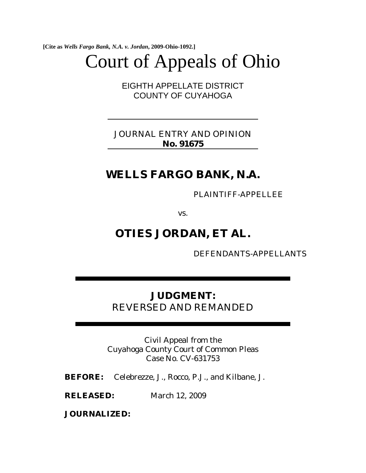**[Cite as** *Wells Fargo Bank, N.A. v. Jordan***, 2009-Ohio-1092.]**

# Court of Appeals of Ohio

EIGHTH APPELLATE DISTRICT COUNTY OF CUYAHOGA

JOURNAL ENTRY AND OPINION **No. 91675**

# **WELLS FARGO BANK, N.A.**

PLAINTIFF-APPELLEE

vs.

## **OTIES JORDAN, ET AL.**

DEFENDANTS-APPELLANTS

## **JUDGMENT:**  REVERSED AND REMANDED

Civil Appeal from the Cuyahoga County Court of Common Pleas Case No. CV-631753

**BEFORE:** Celebrezze, J., Rocco, P.J., and Kilbane, J.

**RELEASED:** March 12, 2009

**JOURNALIZED:**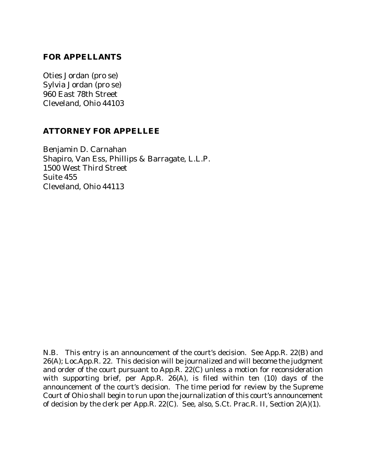### **FOR APPELLANTS**

Oties Jordan (pro se) Sylvia Jordan (pro se) 960 East 78th Street Cleveland, Ohio 44103

#### **ATTORNEY FOR APPELLEE**

Benjamin D. Carnahan Shapiro, Van Ess, Phillips & Barragate, L.L.P. 1500 West Third Street Suite 455 Cleveland, Ohio 44113

N.B. This entry is an announcement of the court's decision. See App.R. 22(B) and 26(A); Loc.App.R. 22. This decision will be journalized and will become the judgment and order of the court pursuant to App.R. 22(C) unless a motion for reconsideration with supporting brief, per App.R. 26(A), is filed within ten (10) days of the announcement of the court's decision. The time period for review by the Supreme Court of Ohio shall begin to run upon the journalization of this court's announcement of decision by the clerk per App.R. 22(C). See, also, S.Ct. Prac.R. II, Section 2(A)(1).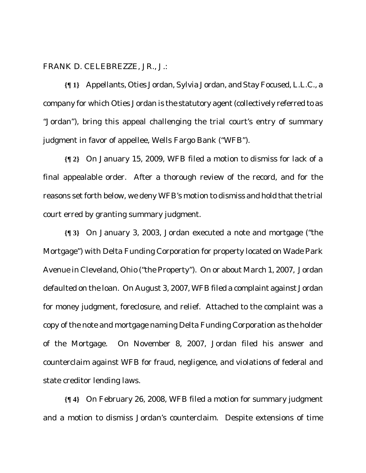FRANK D. CELEBREZZE, JR., J.:

**{¶ 1}** Appellants, Oties Jordan, Sylvia Jordan, and Stay Focused, L.L.C., a company for which Oties Jordan is the statutory agent (collectively referred to as "Jordan"), bring this appeal challenging the trial court's entry of summary judgment in favor of appellee, Wells Fargo Bank ("WFB").

**{¶ 2}** On January 15, 2009, WFB filed a motion to dismiss for lack of a final appealable order. After a thorough review of the record, and for the reasons set forth below, we deny WFB's motion to dismiss and hold that the trial court erred by granting summary judgment.

**{¶ 3}** On January 3, 2003, Jordan executed a note and mortgage ("the Mortgage") with Delta Funding Corporation for property located on Wade Park Avenue in Cleveland, Ohio ("the Property"). On or about March 1, 2007, Jordan defaulted on the loan. On August 3, 2007, WFB filed a complaint against Jordan for money judgment, foreclosure, and relief. Attached to the complaint was a copy of the note and mortgage naming Delta Funding Corporation as the holder of the Mortgage. On November 8, 2007, Jordan filed his answer and counterclaim against WFB for fraud, negligence, and violations of federal and state creditor lending laws.

**{¶ 4}** On February 26, 2008, WFB filed a motion for summary judgment and a motion to dismiss Jordan's counterclaim. Despite extensions of time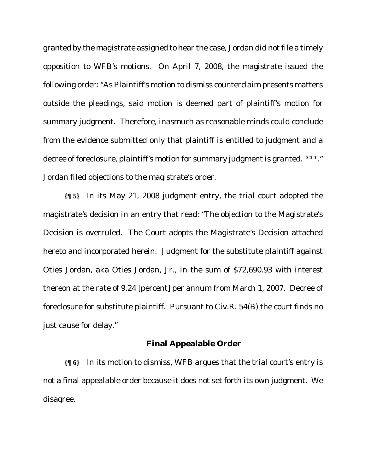granted by the magistrate assigned to hear the case, Jordan did not file a timely opposition to WFB's motions. On April 7, 2008, the magistrate issued the following order: "As Plaintiff's motion to dismiss counterclaim presents matters outside the pleadings, said motion is deemed part of plaintiff's motion for summary judgment. Therefore, inasmuch as reasonable minds could conclude from the evidence submitted only that plaintiff is entitled to judgment and a decree of foreclosure, plaintiff's motion for summary judgment is granted. \*\*\*." Jordan filed objections to the magistrate's order.

**{¶ 5}** In its May 21, 2008 judgment entry, the trial court adopted the magistrate's decision in an entry that read: "The objection to the Magistrate's Decision is overruled. The Court adopts the Magistrate's Decision attached hereto and incorporated herein. Judgment for the substitute plaintiff against Oties Jordan, aka Oties Jordan, Jr., in the sum of \$72,690.93 with interest thereon at the rate of 9.24 [percent] per annum from March 1, 2007. Decree of foreclosure for substitute plaintiff. Pursuant to Civ.R. 54(B) the court finds no just cause for delay."

#### **Final Appealable Order**

**{¶ 6}** In its motion to dismiss, WFB argues that the trial court's entry is not a final appealable order because it does not set forth its own judgment. We disagree.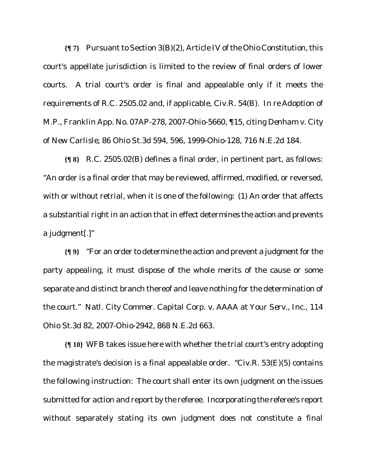**{¶ 7}** Pursuant to Section 3(B)(2), Article IV of the Ohio Constitution, this court's appellate jurisdiction is limited to the review of final orders of lower courts. A trial court's order is final and appealable only if it meets the requirements of R.C. 2505.02 and, if applicable, Civ.R. 54(B). *In re Adoption of M.P.*, Franklin App. No. 07AP-278, 2007-Ohio-5660, ¶15, citing *Denham v. City of New Carlisle*, 86 Ohio St.3d 594, 596, 1999-Ohio-128, 716 N.E.2d 184.

**{¶ 8}** R.C. 2505.02(B) defines a final order, in pertinent part, as follows: "An order is a final order that may be reviewed, affirmed, modified, or reversed, with or without retrial, when it is one of the following: (1) An order that affects a substantial right in an action that in effect determines the action and prevents a judgment[.]"

**{¶ 9}** "For an order to determine the action and prevent a judgment for the party appealing, it must dispose of the whole merits of the cause or some separate and distinct branch thereof and leave nothing for the determination of the court." *Natl. City Commer. Capital Corp. v. AAAA at Your Serv., Inc.,* 114 Ohio St.3d 82, 2007-Ohio-2942, 868 N.E.2d 663.

**{¶ 10}** WFB takes issue here with whether the trial court's entry adopting the magistrate's decision is a final appealable order. "Civ.R.  $53(E)(5)$  contains the following instruction: The court shall enter its own judgment on the issues submitted for action and report by the referee. Incorporating the referee's report without separately stating its own judgment does not constitute a final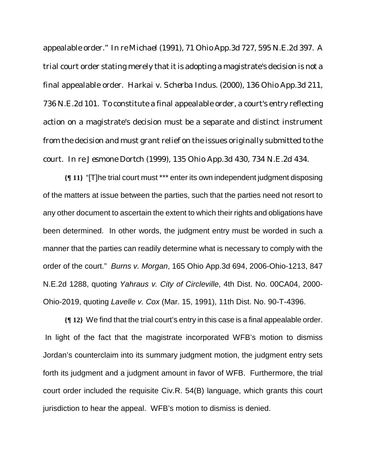appealable order." *In re Michael* (1991), 71 Ohio App.3d 727, 595 N.E.2d 397. A trial court order stating merely that it is adopting a magistrate's decision is not a final appealable order. *Harkai v. Scherba Indus.* (2000), 136 Ohio App.3d 211, 736 N.E.2d 101. To constitute a final appealable order, a court's entry reflecting action on a magistrate's decision must be a separate and distinct instrument from the decision and must grant relief on the issues originally submitted to the court. *In re Jesmone Dortch* (1999), 135 Ohio App.3d 430, 734 N.E.2d 434.

**{¶ 11}** "[T]he trial court must \*\*\* enter its own independent judgment disposing of the matters at issue between the parties, such that the parties need not resort to any other document to ascertain the extent to which their rights and obligations have been determined. In other words, the judgment entry must be worded in such a manner that the parties can readily determine what is necessary to comply with the order of the court." *Burns v. Morgan*, 165 Ohio App.3d 694, 2006-Ohio-1213, 847 N.E.2d 1288, quoting *Yahraus v. City of Circleville*, 4th Dist. No. 00CA04, 2000- Ohio-2019, quoting *Lavelle v. Cox* (Mar. 15, 1991), 11th Dist. No. 90-T-4396.

**{¶ 12}** We find that the trial court's entry in this case is a final appealable order. In light of the fact that the magistrate incorporated WFB's motion to dismiss Jordan's counterclaim into its summary judgment motion, the judgment entry sets forth its judgment and a judgment amount in favor of WFB. Furthermore, the trial court order included the requisite Civ.R. 54(B) language, which grants this court jurisdiction to hear the appeal. WFB's motion to dismiss is denied.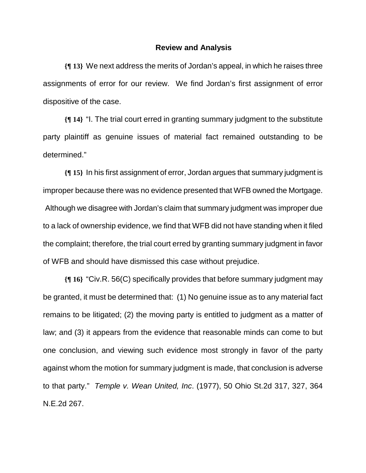#### **Review and Analysis**

**{¶ 13}** We next address the merits of Jordan's appeal, in which he raises three assignments of error for our review. We find Jordan's first assignment of error dispositive of the case.

**{¶ 14}** "I. The trial court erred in granting summary judgment to the substitute party plaintiff as genuine issues of material fact remained outstanding to be determined."

**{¶ 15}** In his first assignment of error, Jordan argues that summary judgment is improper because there was no evidence presented that WFB owned the Mortgage. Although we disagree with Jordan's claim that summary judgment was improper due to a lack of ownership evidence, we find that WFB did not have standing when it filed the complaint; therefore, the trial court erred by granting summary judgment in favor of WFB and should have dismissed this case without prejudice.

**{¶ 16}** "Civ.R. 56(C) specifically provides that before summary judgment may be granted, it must be determined that: (1) No genuine issue as to any material fact remains to be litigated; (2) the moving party is entitled to judgment as a matter of law; and (3) it appears from the evidence that reasonable minds can come to but one conclusion, and viewing such evidence most strongly in favor of the party against whom the motion for summary judgment is made, that conclusion is adverse to that party." *Temple v. Wean United, Inc*. (1977), 50 Ohio St.2d 317, 327, 364 N.E.2d 267.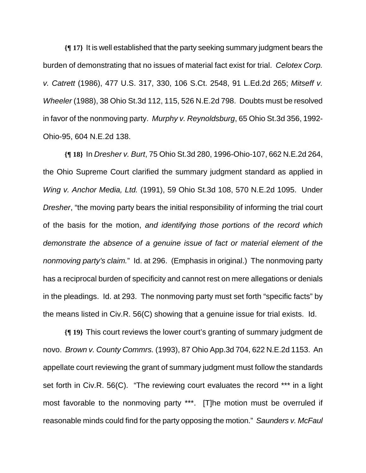**{¶ 17}** It is well established that the party seeking summary judgment bears the burden of demonstrating that no issues of material fact exist for trial. *Celotex Corp. v. Catrett* (1986), 477 U.S. 317, 330, 106 S.Ct. 2548, 91 L.Ed.2d 265; *Mitseff v. Wheeler* (1988), 38 Ohio St.3d 112, 115, 526 N.E.2d 798. Doubts must be resolved in favor of the nonmoving party. *Murphy v. Reynoldsburg*, 65 Ohio St.3d 356, 1992- Ohio-95, 604 N.E.2d 138.

**{¶ 18}** In *Dresher v. Burt*, 75 Ohio St.3d 280, 1996-Ohio-107, 662 N.E.2d 264, the Ohio Supreme Court clarified the summary judgment standard as applied in *Wing v. Anchor Media, Ltd.* (1991), 59 Ohio St.3d 108, 570 N.E.2d 1095. Under *Dresher*, "the moving party bears the initial responsibility of informing the trial court of the basis for the motion, *and identifying those portions of the record which demonstrate the absence of a genuine issue of fact or material element of the nonmoving party's claim.*" Id. at 296. (Emphasis in original.) The nonmoving party has a reciprocal burden of specificity and cannot rest on mere allegations or denials in the pleadings. Id. at 293. The nonmoving party must set forth "specific facts" by the means listed in Civ.R. 56(C) showing that a genuine issue for trial exists. Id.

**{¶ 19}** This court reviews the lower court's granting of summary judgment de novo. *Brown v. County Commrs.* (1993), 87 Ohio App.3d 704, 622 N.E.2d 1153. An appellate court reviewing the grant of summary judgment must follow the standards set forth in Civ.R. 56(C). "The reviewing court evaluates the record \*\*\* in a light most favorable to the nonmoving party \*\*\*. [T]he motion must be overruled if reasonable minds could find for the party opposing the motion." *Saunders v. McFaul*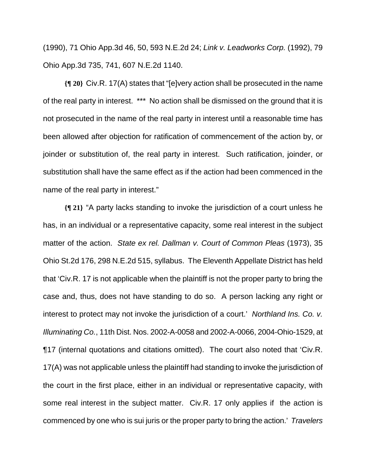(1990), 71 Ohio App.3d 46, 50, 593 N.E.2d 24; *Link v. Leadworks Corp.* (1992), 79 Ohio App.3d 735, 741, 607 N.E.2d 1140.

**{¶ 20}** Civ.R. 17(A) states that "[e]very action shall be prosecuted in the name of the real party in interest. \*\*\* No action shall be dismissed on the ground that it is not prosecuted in the name of the real party in interest until a reasonable time has been allowed after objection for ratification of commencement of the action by, or joinder or substitution of, the real party in interest. Such ratification, joinder, or substitution shall have the same effect as if the action had been commenced in the name of the real party in interest."

**{¶ 21}** "A party lacks standing to invoke the jurisdiction of a court unless he has, in an individual or a representative capacity, some real interest in the subject matter of the action. *State ex rel. Dallman v. Court of Common Pleas* (1973), 35 Ohio St.2d 176, 298 N.E.2d 515, syllabus. The Eleventh Appellate District has held that 'Civ.R. 17 is not applicable when the plaintiff is not the proper party to bring the case and, thus, does not have standing to do so. A person lacking any right or interest to protect may not invoke the jurisdiction of a court.' *Northland Ins. Co. v. Illuminating Co.*, 11th Dist. Nos. 2002-A-0058 and 2002-A-0066, 2004-Ohio-1529, at ¶17 (internal quotations and citations omitted). The court also noted that 'Civ.R. 17(A) was not applicable unless the plaintiff had standing to invoke the jurisdiction of the court in the first place, either in an individual or representative capacity, with some real interest in the subject matter. Civ.R. 17 only applies if the action is commenced by one who is sui juris or the proper party to bring the action.' *Travelers*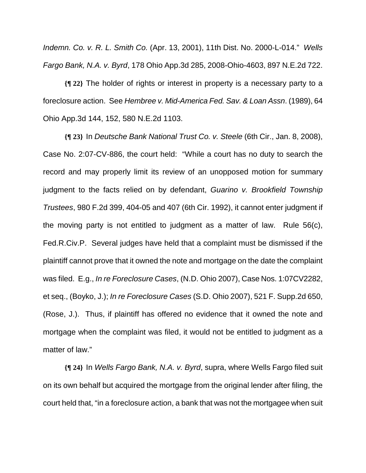*Indemn. Co. v. R. L. Smith Co.* (Apr. 13, 2001), 11th Dist. No. 2000-L-014." *Wells Fargo Bank, N.A. v. Byrd*, 178 Ohio App.3d 285, 2008-Ohio-4603, 897 N.E.2d 722.

**{¶ 22}** The holder of rights or interest in property is a necessary party to a foreclosure action. See *Hembree v. Mid-America Fed. Sav. & Loan Assn*. (1989), 64 Ohio App.3d 144, 152, 580 N.E.2d 1103.

**{¶ 23}** In *Deutsche Bank National Trust Co. v. Steele* (6th Cir., Jan. 8, 2008), Case No. 2:07-CV-886, the court held: "While a court has no duty to search the record and may properly limit its review of an unopposed motion for summary judgment to the facts relied on by defendant, *Guarino v. Brookfield Township Trustees*, 980 F.2d 399, 404-05 and 407 (6th Cir. 1992), it cannot enter judgment if the moving party is not entitled to judgment as a matter of law. Rule 56(c), Fed.R.Civ.P. Several judges have held that a complaint must be dismissed if the plaintiff cannot prove that it owned the note and mortgage on the date the complaint was filed. E.g., *In re Foreclosure Cases*, (N.D. Ohio 2007), Case Nos. 1:07CV2282, et seq., (Boyko, J.); *In re Foreclosure Cases* (S.D. Ohio 2007), 521 F. Supp.2d 650, (Rose, J.). Thus, if plaintiff has offered no evidence that it owned the note and mortgage when the complaint was filed, it would not be entitled to judgment as a matter of law."

**{¶ 24}** In *Wells Fargo Bank, N.A. v. Byrd*, supra, where Wells Fargo filed suit on its own behalf but acquired the mortgage from the original lender after filing, the court held that, "in a foreclosure action, a bank that was not the mortgagee when suit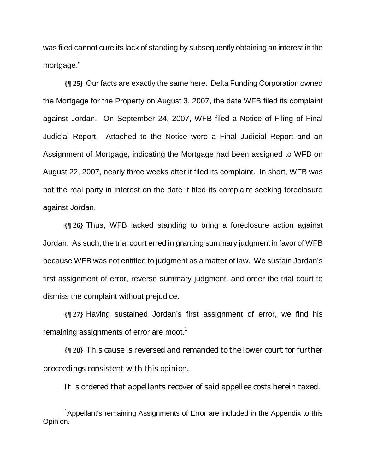was filed cannot cure its lack of standing by subsequently obtaining an interest in the mortgage."

**{¶ 25}** Our facts are exactly the same here. Delta Funding Corporation owned the Mortgage for the Property on August 3, 2007, the date WFB filed its complaint against Jordan. On September 24, 2007, WFB filed a Notice of Filing of Final Judicial Report. Attached to the Notice were a Final Judicial Report and an Assignment of Mortgage, indicating the Mortgage had been assigned to WFB on August 22, 2007, nearly three weeks after it filed its complaint. In short, WFB was not the real party in interest on the date it filed its complaint seeking foreclosure against Jordan.

**{¶ 26}** Thus, WFB lacked standing to bring a foreclosure action against Jordan. As such, the trial court erred in granting summary judgment in favor of WFB because WFB was not entitled to judgment as a matter of law. We sustain Jordan's first assignment of error, reverse summary judgment, and order the trial court to dismiss the complaint without prejudice.

**{¶ 27}** Having sustained Jordan's first assignment of error, we find his remaining assignments of error are moot.<sup>1</sup>

**{¶ 28}** This cause is reversed and remanded to the lower court for further proceedings consistent with this opinion.

It is ordered that appellants recover of said appellee costs herein taxed.

 $\frac{1}{1}$  $1$ Appellant's remaining Assignments of Error are included in the Appendix to this Opinion.